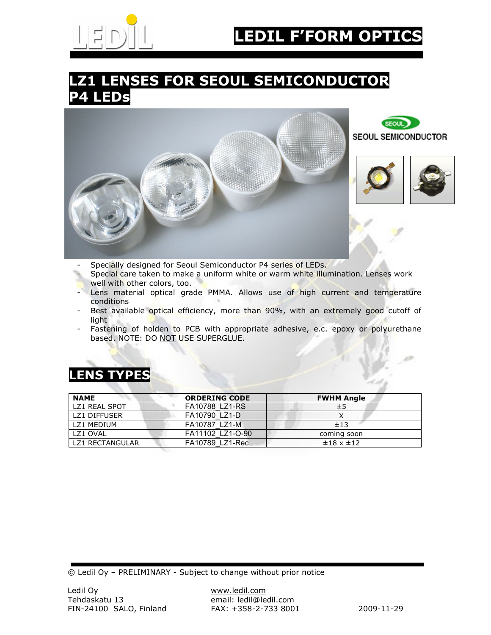

## **LZ1 LENSES FOR SEOUL SEMICONDUCTOR P4 LEDs**



- Specially designed for Seoul Semiconductor P4 series of LEDs.
- Special care taken to make a uniform white or warm white illumination. Lenses work well with other colors, too.
- Lens material optical grade PMMA. Allows use of high current and temperature conditions
- Best available optical efficiency, more than 90%, with an extremely good cutoff of light
- Fastening of holden to PCB with appropriate adhesive, e.c. epoxy or polyurethane based. NOTE: DO NOT USE SUPERGLUE.

### **LENS TYPES**

| <b>NAME</b>     | <b>ORDERING CODE</b> | <b>FWHM Angle</b> |
|-----------------|----------------------|-------------------|
| LZ1 REAL SPOT   | FA10788 LZ1-RS       | ±5                |
| LZ1 DIFFUSER    | FA10790 LZ1-D        |                   |
| LZ1 MEDIUM      | FA10787 LZ1-M        | ±13               |
| LZ1 OVAL        | FA11102 LZ1-O-90     | coming soon       |
| LZ1 RECTANGULAR | FA10789 LZ1-Rec      | $±18 \times ±12$  |

© Ledil Oy – PRELIMINARY - Subject to change without prior notice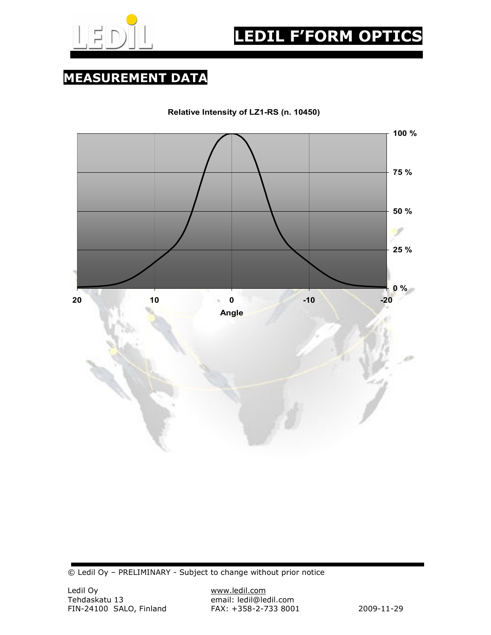

**MEASUREMENT DATA** 

**Relative Intensity of LZ1-RS (n. 10450)**



© Ledil Oy – PRELIMINARY - Subject to change without prior notice

email: ledil@ledil.com<br>FAX: +358-2-733 8001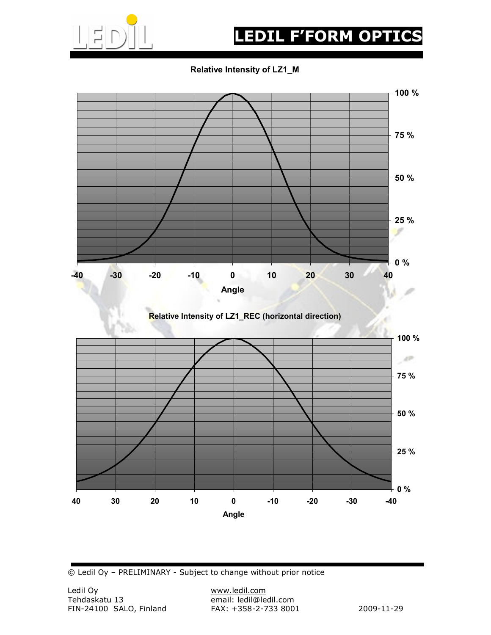

# **LEDIL F'FORM OPTICS**

**Relative Intensity of LZ1\_M**



© Ledil Oy – PRELIMINARY - Subject to change without prior notice

email: ledil@ledil.com<br>FAX: +358-2-733 8001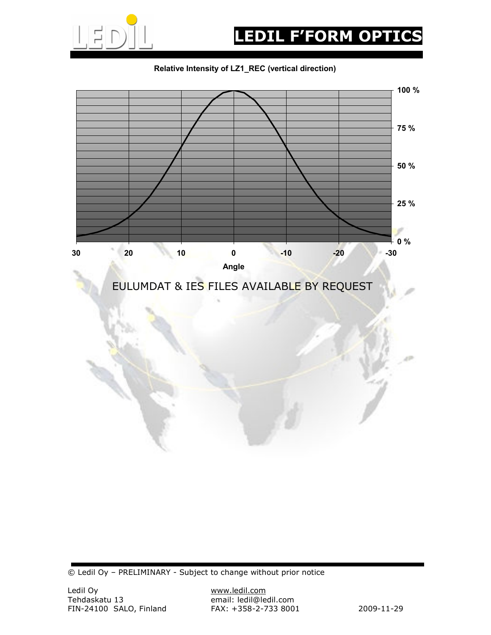

#### **Relative Intensity of LZ1\_REC (vertical direction)**



© Ledil Oy – PRELIMINARY - Subject to change without prior notice

email: ledil@ledil.com<br>FAX: +358-2-733 8001